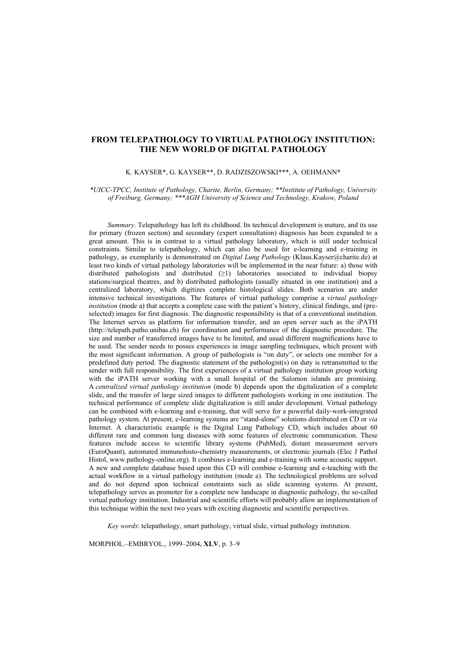## **FROM TELEPATHOLOGY TO VIRTUAL PATHOLOGY INSTITUTION: THE NEW WORLD OF DIGITAL PATHOLOGY**

#### K. KAYSER\*, G. KAYSER\*\*, D. RADZISZOWSKI\*\*\*, A. OEHMANN\*

*\*UICC-TPCC, Institute of Pathology, Charite, Berlin, Germany; \*\*Institute of Pathology, University of Freiburg, Germany; \*\*\*AGH University of Science and Technology, Krakow, Poland* 

*Summary*. Telepathology has left its childhood. Its technical development is mature, and its use for primary (frozen section) and secondary (expert consultation) diagnosis has been expanded to a great amount. This is in contrast to a virtual pathology laboratory, which is still under technical constraints. Similar to telepathology, which can also be used for e-learning and e-training in pathology, as exemplarily is demonstrated on *Digital Lung Pathology* (Klaus.Kayser@charite.de) at least two kinds of virtual pathology laboratories will be implemented in the near future: a) those with distributed pathologists and distributed (≥1) laboratories associated to individual biopsy stations/surgical theatres, and b) distributed pathologists (usually situated in one institution) and a centralized laboratory, which digitizes complete histological slides. Both scenarios are under intensive technical investigations. The features of virtual pathology comprise a *virtual pathology institution* (mode a) that accepts a complete case with the patient's history, clinical findings, and (preselected) images for first diagnosis. The diagnostic responsibility is that of a conventional institution. The Internet serves as platform for information transfer, and an open server such as the iPATH (http://telepath.patho.unibas.ch) for coordination and performance of the diagnostic procedure. The size and number of transferred images have to be limited, and usual different magnifications have to be used. The sender needs to posses experiences in image sampling techniques, which present with the most significant information. A group of pathologists is "on duty", or selects one member for a predefined duty period. The diagnostic statement of the pathologist(s) on duty is retransmitted to the sender with full responsibility. The first experiences of a virtual pathology institution group working with the iPATH server working with a small hospital of the Salomon islands are promising. A *centralized virtual pathology institution* (mode b) depends upon the digitalization of a complete slide, and the transfer of large sized images to different pathologists working in one institution. The technical performance of complete slide digitalization is still under development. Virtual pathology can be combined with e-learning and e-training, that will serve for a powerful daily-work-integrated pathology system*.* At present, e-learning systems are "stand-alone" solutions distributed on CD or *via* Internet. A characteristic example is the Digital Lung Pathology CD, which includes about 60 different rare and common lung diseases with some features of electronic communication. These features include access to scientific library systems (PubMed), distant measurement servers (EuroQuant), automated immunohisto-chemistry measurements, or electronic journals (Elec J Pathol Histol, www.pathology-online.org). It combines e-learning and e-training with some acoustic support. A new and complete database based upon this CD will combine e-learning and e-teaching with the actual workflow in a virtual pathology institution (mode a). The technological problems are solved and do not depend upon technical constraints such as slide scanning systems. At present, telepathology serves as promoter for a complete new landscape in diagnostic pathology, the so-called virtual pathology institution. Industrial and scientific efforts will probably allow an implementation of this technique within the next two years with exciting diagnostic and scientific perspectives.

*Key words*: telepathology, smart pathology, virtual slide, virtual pathology institution.

MORPHOL.–EMBRYOL., 1999–2004, **XLV**, p. 3–9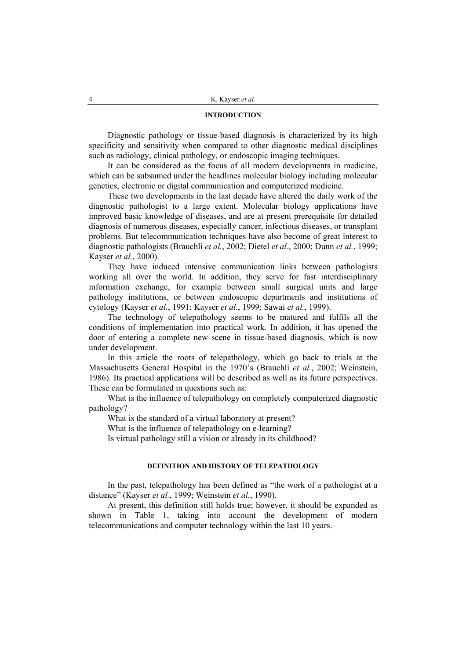## **INTRODUCTION**

Diagnostic pathology or tissue-based diagnosis is characterized by its high specificity and sensitivity when compared to other diagnostic medical disciplines such as radiology, clinical pathology, or endoscopic imaging techniques.

It can be considered as the focus of all modern developments in medicine, which can be subsumed under the headlines molecular biology including molecular genetics, electronic or digital communication and computerized medicine.

These two developments in the last decade have altered the daily work of the diagnostic pathologist to a large extent. Molecular biology applications have improved basic knowledge of diseases, and are at present prerequisite for detailed diagnosis of numerous diseases, especially cancer, infectious diseases, or transplant problems. But telecommunication techniques have also become of great interest to diagnostic pathologists (Brauchli *et al.*, 2002; Dietel *et al.*, 2000; Dunn *et al.*, 1999; Kayser *et al.*, 2000).

They have induced intensive communication links between pathologists working all over the world. In addition, they serve for fast interdisciplinary information exchange, for example between small surgical units and large pathology institutions, or between endoscopic departments and institutions of cytology (Kayser *et al.*, 1991; Kayser *et al.*, 1999; Sawai *et al.*, 1999).

The technology of telepathology seems to be matured and fulfils all the conditions of implementation into practical work. In addition, it has opened the door of entering a complete new scene in tissue-based diagnosis, which is now under development.

In this article the roots of telepathology, which go back to trials at the Massachusetts General Hospital in the 1970's (Brauchli *et al.*, 2002; Weinstein, 1986). Its practical applications will be described as well as its future perspectives. These can be formulated in questions such as:

What is the influence of telepathology on completely computerized diagnostic pathology?

What is the standard of a virtual laboratory at present?

What is the influence of telepathology on e-learning?

Is virtual pathology still a vision or already in its childhood?

# **DEFINITION AND HISTORY OF TELEPATHOLOGY**

In the past, telepathology has been defined as "the work of a pathologist at a distance" (Kayser *et al.*, 1999; Weinstein *et al.*, 1990).

At present, this definition still holds true; however, it should be expanded as shown in Table 1, taking into account the development of modern telecommunications and computer technology within the last 10 years.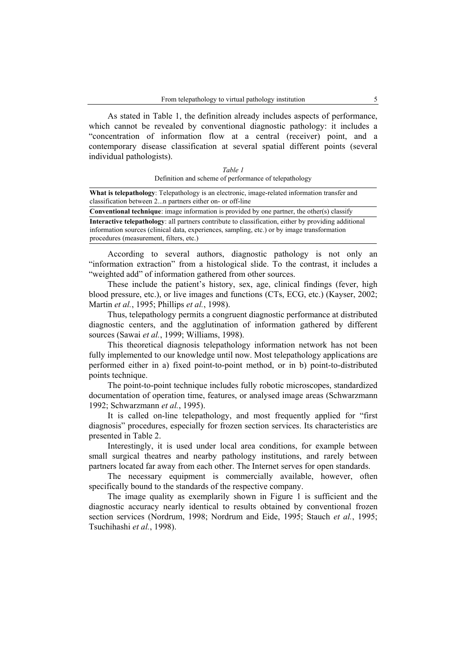As stated in Table 1, the definition already includes aspects of performance, which cannot be revealed by conventional diagnostic pathology: it includes a "concentration of information flow at a central (receiver) point, and a contemporary disease classification at several spatial different points (several individual pathologists).

| Table 1                                               |
|-------------------------------------------------------|
| Definition and scheme of performance of telepathology |

| What is telepathology: Telepathology is an electronic, image-related information transfer and<br>classification between 2n partners either on- or off-line |
|------------------------------------------------------------------------------------------------------------------------------------------------------------|
| <b>Conventional technique:</b> image information is provided by one partner, the other(s) classify                                                         |
| <b>Interactive telepathology:</b> all partners contribute to classification, either by providing additional                                                |
| information sources (clinical data, experiences, sampling, etc.) or by image transformation                                                                |
| procedures (measurement, filters, etc.)                                                                                                                    |

According to several authors, diagnostic pathology is not only an "information extraction" from a histological slide. To the contrast, it includes a "weighted add" of information gathered from other sources.

These include the patient's history, sex, age, clinical findings (fever, high blood pressure, etc.), or live images and functions (CTs, ECG, etc.) (Kayser, 2002; Martin *et al.*, 1995; Phillips *et al.*, 1998).

Thus, telepathology permits a congruent diagnostic performance at distributed diagnostic centers, and the agglutination of information gathered by different sources (Sawai *et al.*, 1999; Williams, 1998).

This theoretical diagnosis telepathology information network has not been fully implemented to our knowledge until now. Most telepathology applications are performed either in a) fixed point-to-point method, or in b) point-to-distributed points technique.

The point-to-point technique includes fully robotic microscopes, standardized documentation of operation time, features, or analysed image areas (Schwarzmann 1992; Schwarzmann *et al.*, 1995).

It is called on-line telepathology, and most frequently applied for "first diagnosis" procedures, especially for frozen section services. Its characteristics are presented in Table 2.

Interestingly, it is used under local area conditions, for example between small surgical theatres and nearby pathology institutions, and rarely between partners located far away from each other. The Internet serves for open standards.

The necessary equipment is commercially available, however, often specifically bound to the standards of the respective company.

The image quality as exemplarily shown in Figure 1 is sufficient and the diagnostic accuracy nearly identical to results obtained by conventional frozen section services (Nordrum, 1998; Nordrum and Eide, 1995; Stauch *et al.*, 1995; Tsuchihashi *et al.*, 1998).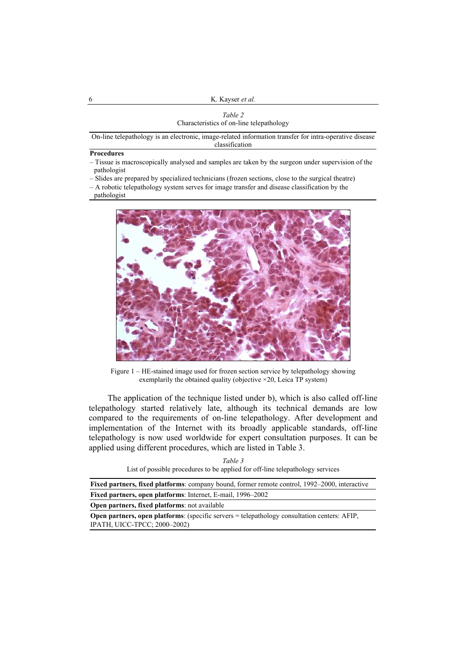| Table 2                                  |
|------------------------------------------|
| Characteristics of on-line telepathology |

On-line telepathology is an electronic, image-related information transfer for intra-operative disease classification

#### **Procedures**

- Tissue is macroscopically analysed and samples are taken by the surgeon under supervision of the pathologist
- Slides are prepared by specialized technicians (frozen sections, close to the surgical theatre)
- A robotic telepathology system serves for image transfer and disease classification by the pathologist



Figure 1 – HE-stained image used for frozen section service by telepathology showing exemplarily the obtained quality (objective ×20, Leica TP system)

The application of the technique listed under b), which is also called off-line telepathology started relatively late, although its technical demands are low compared to the requirements of on-line telepathology. After development and implementation of the Internet with its broadly applicable standards, off-line telepathology is now used worldwide for expert consultation purposes. It can be applied using different procedures, which are listed in Table 3.

|  |                                                                               | Table 3 |  |  |
|--|-------------------------------------------------------------------------------|---------|--|--|
|  | List of possible procedures to be applied for off-line telepathology services |         |  |  |

| <b>Fixed partners, fixed platforms:</b> company bound, former remote control, 1992–2000, interactive                                 |
|--------------------------------------------------------------------------------------------------------------------------------------|
| Fixed partners, open platforms: Internet, E-mail, 1996–2002                                                                          |
| <b>Open partners, fixed platforms:</b> not available                                                                                 |
| <b>Open partners, open platforms</b> : (specific servers = telepathology consultation centers: AFIP,<br>IPATH, UICC-TPCC; 2000-2002) |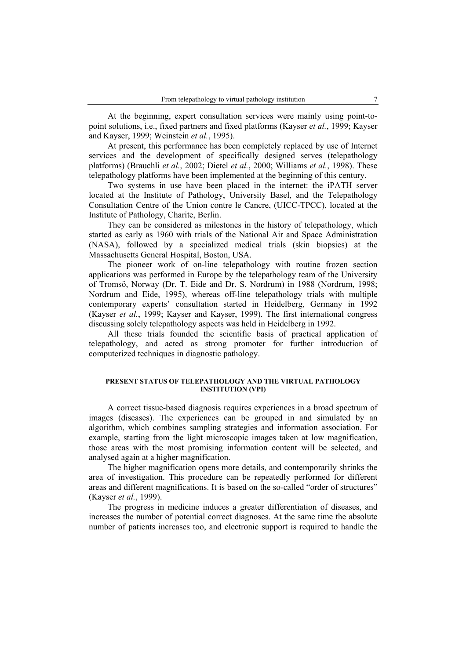At the beginning, expert consultation services were mainly using point-topoint solutions, i.e., fixed partners and fixed platforms (Kayser *et al.*, 1999; Kayser and Kayser, 1999; Weinstein *et al.*, 1995).

At present, this performance has been completely replaced by use of Internet services and the development of specifically designed serves (telepathology platforms) (Brauchli *et al.*, 2002; Dietel *et al.*, 2000; Williams *et al.*, 1998). These telepathology platforms have been implemented at the beginning of this century.

Two systems in use have been placed in the internet: the iPATH server located at the Institute of Pathology, University Basel, and the Telepathology Consultation Centre of the Union contre le Cancre, (UICC-TPCC), located at the Institute of Pathology, Charite, Berlin.

They can be considered as milestones in the history of telepathology, which started as early as 1960 with trials of the National Air and Space Administration (NASA), followed by a specialized medical trials (skin biopsies) at the Massachusetts General Hospital, Boston, USA.

The pioneer work of on-line telepathology with routine frozen section applications was performed in Europe by the telepathology team of the University of Tromsö, Norway (Dr. T. Eide and Dr. S. Nordrum) in 1988 (Nordrum, 1998; Nordrum and Eide, 1995), whereas off-line telepathology trials with multiple contemporary experts' consultation started in Heidelberg, Germany in 1992 (Kayser *et al.*, 1999; Kayser and Kayser, 1999). The first international congress discussing solely telepathology aspects was held in Heidelberg in 1992.

All these trials founded the scientific basis of practical application of telepathology, and acted as strong promoter for further introduction of computerized techniques in diagnostic pathology.

### **PRESENT STATUS OF TELEPATHOLOGY AND THE VIRTUAL PATHOLOGY INSTITUTION (VPI)**

A correct tissue-based diagnosis requires experiences in a broad spectrum of images (diseases). The experiences can be grouped in and simulated by an algorithm, which combines sampling strategies and information association. For example, starting from the light microscopic images taken at low magnification, those areas with the most promising information content will be selected, and analysed again at a higher magnification.

The higher magnification opens more details, and contemporarily shrinks the area of investigation. This procedure can be repeatedly performed for different areas and different magnifications. It is based on the so-called "order of structures" (Kayser *et al.*, 1999).

The progress in medicine induces a greater differentiation of diseases, and increases the number of potential correct diagnoses. At the same time the absolute number of patients increases too, and electronic support is required to handle the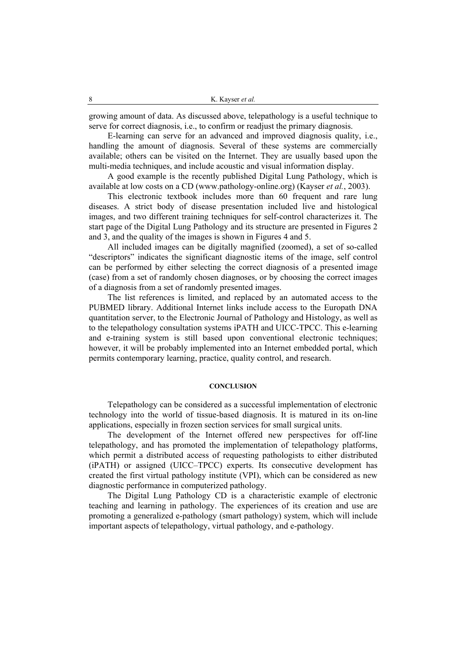growing amount of data. As discussed above, telepathology is a useful technique to serve for correct diagnosis, i.e., to confirm or readjust the primary diagnosis.

E-learning can serve for an advanced and improved diagnosis quality, i.e., handling the amount of diagnosis. Several of these systems are commercially available; others can be visited on the Internet. They are usually based upon the multi-media techniques, and include acoustic and visual information display.

A good example is the recently published Digital Lung Pathology, which is available at low costs on a CD (www.pathology-online.org) (Kayser *et al.*, 2003).

This electronic textbook includes more than 60 frequent and rare lung diseases. A strict body of disease presentation included live and histological images, and two different training techniques for self-control characterizes it. The start page of the Digital Lung Pathology and its structure are presented in Figures 2 and 3, and the quality of the images is shown in Figures 4 and 5.

All included images can be digitally magnified (zoomed), a set of so-called "descriptors" indicates the significant diagnostic items of the image, self control can be performed by either selecting the correct diagnosis of a presented image (case) from a set of randomly chosen diagnoses, or by choosing the correct images of a diagnosis from a set of randomly presented images.

The list references is limited, and replaced by an automated access to the PUBMED library. Additional Internet links include access to the Europath DNA quantitation server, to the Electronic Journal of Pathology and Histology, as well as to the telepathology consultation systems iPATH and UICC-TPCC. This e-learning and e-training system is still based upon conventional electronic techniques; however, it will be probably implemented into an Internet embedded portal, which permits contemporary learning, practice, quality control, and research.

#### **CONCLUSION**

Telepathology can be considered as a successful implementation of electronic technology into the world of tissue-based diagnosis. It is matured in its on-line applications, especially in frozen section services for small surgical units.

The development of the Internet offered new perspectives for off-line telepathology, and has promoted the implementation of telepathology platforms, which permit a distributed access of requesting pathologists to either distributed (iPATH) or assigned (UICC–TPCC) experts. Its consecutive development has created the first virtual pathology institute (VPI), which can be considered as new diagnostic performance in computerized pathology.

The Digital Lung Pathology CD is a characteristic example of electronic teaching and learning in pathology. The experiences of its creation and use are promoting a generalized e-pathology (smart pathology) system, which will include important aspects of telepathology, virtual pathology, and e-pathology.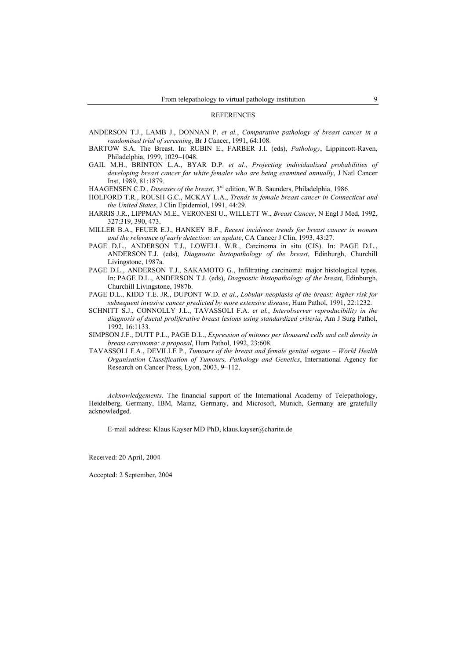#### REFERENCES

- ANDERSON T.J., LAMB J., DONNAN P. *et al.*, *Comparative pathology of breast cancer in a randomised trial of screening*, Br J Cancer, 1991, 64:108.
- BARTOW S.A. The Breast. In: RUBIN E., FARBER J.I. (eds), *Pathology*, Lippincott-Raven, Philadelphia, 1999, 1029–1048.
- GAIL M.H., BRINTON L.A., BYAR D.P. *et al.*, *Projecting individualized probabilities of developing breast cancer for white females who are being examined annually*, J Natl Cancer Inst, 1989, 81:1879.
- HAAGENSEN C.D., *Diseases of the breast*, 3rd edition, W.B. Saunders, Philadelphia, 1986.
- HOLFORD T.R., ROUSH G.C., MCKAY L.A., *Trends in female breast cancer in Connecticut and the United States*, J Clin Epidemiol, 1991, 44:29.
- HARRIS J.R., LIPPMAN M.E., VERONESI U., WILLETT W., *Breast Cancer*, N Engl J Med, 1992, 327:319, 390, 473.
- MILLER B.A., FEUER E.J., HANKEY B.F., *Recent incidence trends for breast cancer in women and the relevance of early detection: an update*, CA Cancer J Clin, 1993, 43:27.
- PAGE D.L., ANDERSON T.J., LOWELL W.R., Carcinoma in situ (CIS). In: PAGE D.L., ANDERSON T.J. (eds), *Diagnostic histopathology of the breast*, Edinburgh, Churchill Livingstone, 1987a.
- PAGE D.L., ANDERSON T.J., SAKAMOTO G., Infiltrating carcinoma: major histological types. In: PAGE D.L., ANDERSON T.J. (eds), *Diagnostic histopathology of the breast*, Edinburgh, Churchill Livingstone, 1987b.
- PAGE D.L., KIDD T.E. JR., DUPONT W.D. *et al.*, *Lobular neoplasia of the breast: higher risk for subsequent invasive cancer predicted by more extensive disease*, Hum Pathol, 1991, 22:1232.
- SCHNITT S.J., CONNOLLY J.L., TAVASSOLI F.A. *et al.*, *Interobserver reproducibility in the diagnosis of ductal proliferative breast lesions using standardized criteria*, Am J Surg Pathol, 1992, 16:1133.
- SIMPSON J.F., DUTT P.L., PAGE D.L., *Expression of mitoses per thousand cells and cell density in breast carcinoma: a proposal*, Hum Pathol, 1992, 23:608.
- TAVASSOLI F.A., DEVILLE P., *Tumours of the breast and female genital organs World Health Organisation Classification of Tumours, Pathology and Genetics*, International Agency for Research on Cancer Press, Lyon, 2003, 9–112.

*Acknowledgements*. The financial support of the International Academy of Telepathology, Heidelberg, Germany, IBM, Mainz, Germany, and Microsoft, Munich, Germany are gratefully acknowledged.

E-mail address: Klaus Kayser MD PhD, klaus.kayser@charite.de

Received: 20 April, 2004

Accepted: 2 September, 2004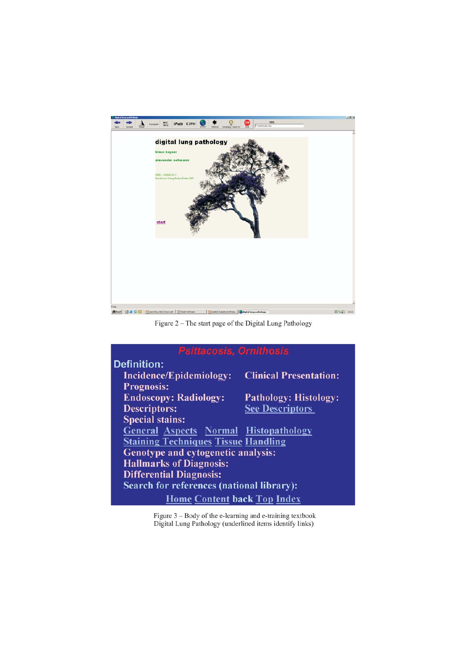

Figure 2 - The start page of the Digital Lung Pathology

| <b>Psittacosis, Ornithosis</b>                   |                               |  |  |  |  |
|--------------------------------------------------|-------------------------------|--|--|--|--|
| <b>Definition:</b>                               |                               |  |  |  |  |
| <b>Incidence/Epidemiology:</b>                   | <b>Clinical Presentation:</b> |  |  |  |  |
| <b>Prognosis:</b>                                |                               |  |  |  |  |
| <b>Endoscopy: Radiology:</b>                     | <b>Pathology: Histology:</b>  |  |  |  |  |
| <b>Descriptors:</b>                              | <b>See Descriptors</b>        |  |  |  |  |
| <b>Special stains:</b>                           |                               |  |  |  |  |
| <b>General Aspects Normal Histopathology</b>     |                               |  |  |  |  |
| <b>Staining Techniques Tissue Handling</b>       |                               |  |  |  |  |
| Genotype and cytogenetic analysis:               |                               |  |  |  |  |
| <b>Hallmarks of Diagnosis:</b>                   |                               |  |  |  |  |
| <b>Differential Diagnosis:</b>                   |                               |  |  |  |  |
| <b>Search for references (national library):</b> |                               |  |  |  |  |
| <b>Home Content back Top Index</b>               |                               |  |  |  |  |
|                                                  |                               |  |  |  |  |

Figure 3 – Body of the e-learning and e-training textbook<br>Digital Lung Pathology (underlined items identify links)